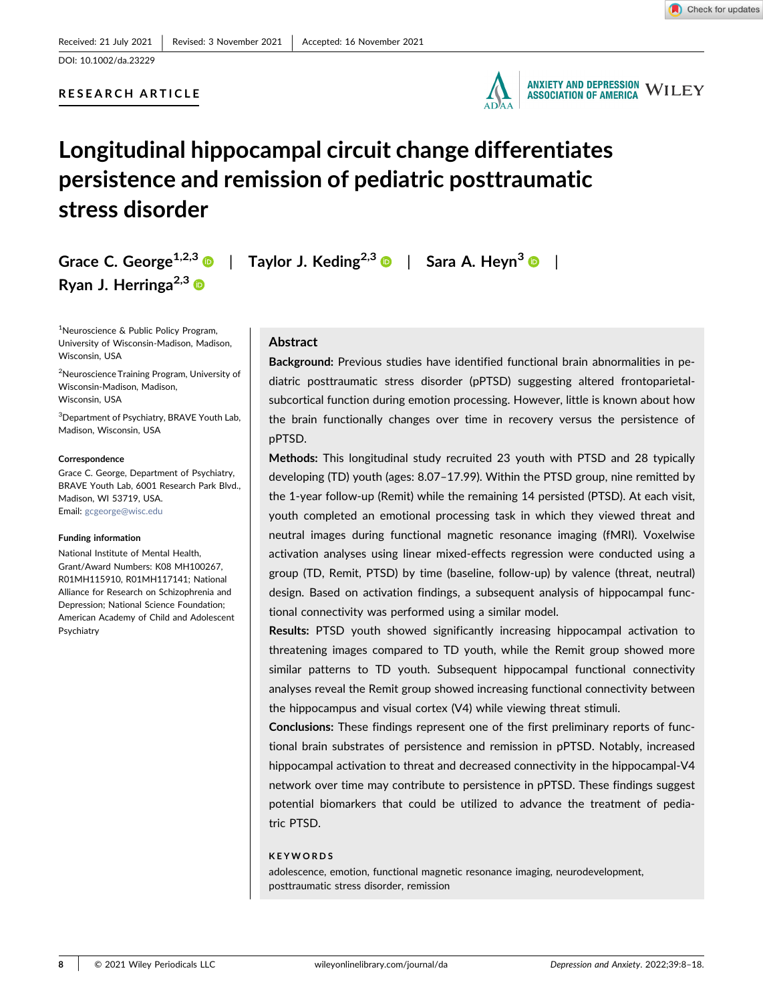# RESEARCH ARTICLE



**ANXIETY AND DEPRESSION WILEY ASSOCIATION OF AMERICA** 

# Longitudinal hippocampal circuit change differentiates persistence and remission of pediatric posttraumatic stress disorder

Ryan J. Herringa<sup>2,3</sup>

<sup>1</sup>Neuroscience & Public Policy Program, University of Wisconsin‐Madison, Madison, Wisconsin, USA

2 Neuroscience Training Program, University of Wisconsin‐Madison, Madison, Wisconsin, USA

3 Department of Psychiatry, BRAVE Youth Lab, Madison, Wisconsin, USA

#### **Correspondence**

Grace C. George, Department of Psychiatry, BRAVE Youth Lab, 6001 Research Park Blvd., Madison, WI 53719, USA. Email: [gcgeorge@wisc.edu](mailto:gcgeorge@wisc.edu)

#### Funding information

National Institute of Mental Health, Grant/Award Numbers: K08 MH100267, R01MH115910, R01MH117141; National Alliance for Research on Schizophrenia and Depression; National Science Foundation; American Academy of Child and Adolescent Psychiatry

Grace C. George<sup>1,2,[3](http://orcid.org/0000-0003-0907-1342)</sup>  $\odot$  | Taylor J. Keding<sup>2,3</sup>  $\odot$  | Sara A. Heyn<sup>3</sup>  $\odot$  |

### Abstract

Background: Previous studies have identified functional brain abnormalities in pediatric posttraumatic stress disorder (pPTSD) suggesting altered frontoparietal‐ subcortical function during emotion processing. However, little is known about how the brain functionally changes over time in recovery versus the persistence of pPTSD.

Methods: This longitudinal study recruited 23 youth with PTSD and 28 typically developing (TD) youth (ages: 8.07–17.99). Within the PTSD group, nine remitted by the 1‐year follow‐up (Remit) while the remaining 14 persisted (PTSD). At each visit, youth completed an emotional processing task in which they viewed threat and neutral images during functional magnetic resonance imaging (fMRI). Voxelwise activation analyses using linear mixed‐effects regression were conducted using a group (TD, Remit, PTSD) by time (baseline, follow‐up) by valence (threat, neutral) design. Based on activation findings, a subsequent analysis of hippocampal functional connectivity was performed using a similar model.

Results: PTSD youth showed significantly increasing hippocampal activation to threatening images compared to TD youth, while the Remit group showed more similar patterns to TD youth. Subsequent hippocampal functional connectivity analyses reveal the Remit group showed increasing functional connectivity between the hippocampus and visual cortex (V4) while viewing threat stimuli.

Conclusions: These findings represent one of the first preliminary reports of functional brain substrates of persistence and remission in pPTSD. Notably, increased hippocampal activation to threat and decreased connectivity in the hippocampal‐V4 network over time may contribute to persistence in pPTSD. These findings suggest potential biomarkers that could be utilized to advance the treatment of pediatric PTSD.

### **KEYWORDS**

adolescence, emotion, functional magnetic resonance imaging, neurodevelopment, posttraumatic stress disorder, remission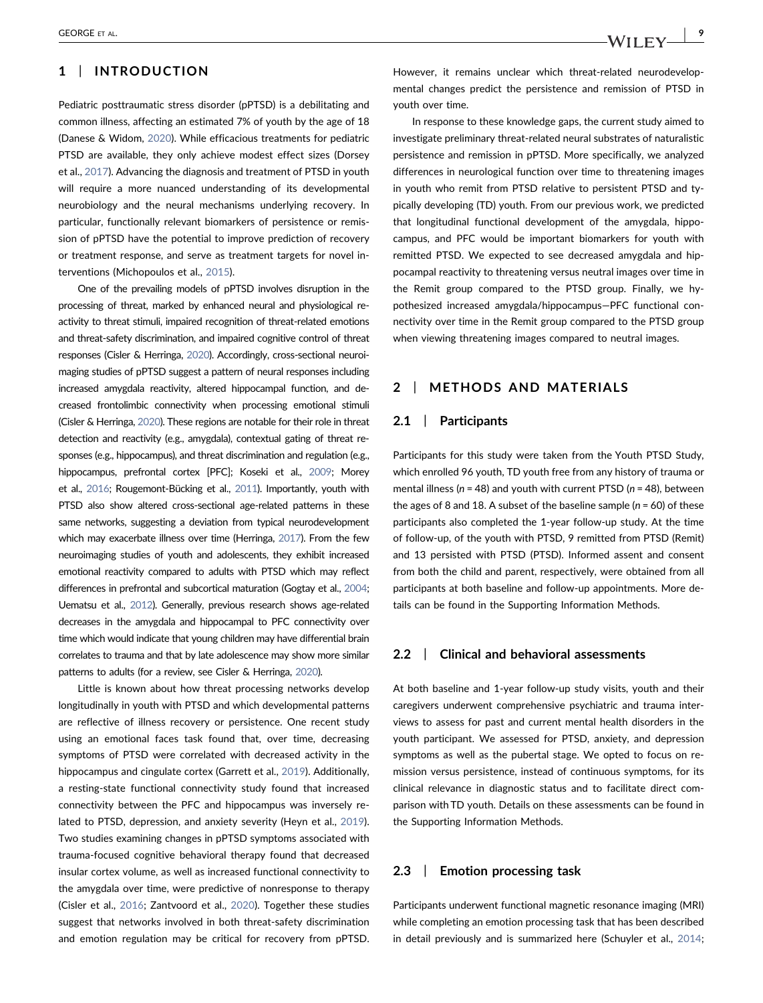# 1 | INTRODUCTION

Pediatric posttraumatic stress disorder (pPTSD) is a debilitating and common illness, affecting an estimated 7% of youth by the age of 18 (Danese & Widom, [2020\)](#page-8-0). While efficacious treatments for pediatric PTSD are available, they only achieve modest effect sizes (Dorsey et al., [2017\)](#page-8-1). Advancing the diagnosis and treatment of PTSD in youth will require a more nuanced understanding of its developmental neurobiology and the neural mechanisms underlying recovery. In particular, functionally relevant biomarkers of persistence or remission of pPTSD have the potential to improve prediction of recovery or treatment response, and serve as treatment targets for novel interventions (Michopoulos et al., [2015](#page-9-0)).

One of the prevailing models of pPTSD involves disruption in the processing of threat, marked by enhanced neural and physiological reactivity to threat stimuli, impaired recognition of threat-related emotions and threat‐safety discrimination, and impaired cognitive control of threat responses (Cisler & Herringa, [2020](#page-8-2)). Accordingly, cross‐sectional neuroimaging studies of pPTSD suggest a pattern of neural responses including increased amygdala reactivity, altered hippocampal function, and decreased frontolimbic connectivity when processing emotional stimuli (Cisler & Herringa, [2020](#page-8-2)). These regions are notable for their role in threat detection and reactivity (e.g., amygdala), contextual gating of threat responses (e.g., hippocampus), and threat discrimination and regulation (e.g., hippocampus, prefrontal cortex [PFC]; Koseki et al., [2009;](#page-9-1) Morey et al., [2016](#page-9-2); Rougemont‐Bücking et al., [2011\)](#page-9-3). Importantly, youth with PTSD also show altered cross-sectional age-related patterns in these same networks, suggesting a deviation from typical neurodevelopment which may exacerbate illness over time (Herringa, [2017\)](#page-8-3). From the few neuroimaging studies of youth and adolescents, they exhibit increased emotional reactivity compared to adults with PTSD which may reflect differences in prefrontal and subcortical maturation (Gogtay et al., [2004](#page-8-4); Uematsu et al., [2012](#page-9-4)). Generally, previous research shows age-related decreases in the amygdala and hippocampal to PFC connectivity over time which would indicate that young children may have differential brain correlates to trauma and that by late adolescence may show more similar patterns to adults (for a review, see Cisler & Herringa, [2020](#page-8-2)).

Little is known about how threat processing networks develop longitudinally in youth with PTSD and which developmental patterns are reflective of illness recovery or persistence. One recent study using an emotional faces task found that, over time, decreasing symptoms of PTSD were correlated with decreased activity in the hippocampus and cingulate cortex (Garrett et al., [2019](#page-8-5)). Additionally, a resting‐state functional connectivity study found that increased connectivity between the PFC and hippocampus was inversely related to PTSD, depression, and anxiety severity (Heyn et al., [2019](#page-8-6)). Two studies examining changes in pPTSD symptoms associated with trauma‐focused cognitive behavioral therapy found that decreased insular cortex volume, as well as increased functional connectivity to the amygdala over time, were predictive of nonresponse to therapy (Cisler et al., [2016](#page-8-7); Zantvoord et al., [2020\)](#page-10-0). Together these studies suggest that networks involved in both threat‐safety discrimination and emotion regulation may be critical for recovery from pPTSD.

However, it remains unclear which threat-related neurodevelopmental changes predict the persistence and remission of PTSD in youth over time.

In response to these knowledge gaps, the current study aimed to investigate preliminary threat‐related neural substrates of naturalistic persistence and remission in pPTSD. More specifically, we analyzed differences in neurological function over time to threatening images in youth who remit from PTSD relative to persistent PTSD and typically developing (TD) youth. From our previous work, we predicted that longitudinal functional development of the amygdala, hippocampus, and PFC would be important biomarkers for youth with remitted PTSD. We expected to see decreased amygdala and hippocampal reactivity to threatening versus neutral images over time in the Remit group compared to the PTSD group. Finally, we hypothesized increased amygdala/hippocampus—PFC functional connectivity over time in the Remit group compared to the PTSD group when viewing threatening images compared to neutral images.

## 2 | METHODS AND MATERIALS

### 2.1 | Participants

Participants for this study were taken from the Youth PTSD Study, which enrolled 96 youth, TD youth free from any history of trauma or mental illness ( $n = 48$ ) and youth with current PTSD ( $n = 48$ ), between the ages of 8 and 18. A subset of the baseline sample ( $n = 60$ ) of these participants also completed the 1‐year follow‐up study. At the time of follow‐up, of the youth with PTSD, 9 remitted from PTSD (Remit) and 13 persisted with PTSD (PTSD). Informed assent and consent from both the child and parent, respectively, were obtained from all participants at both baseline and follow-up appointments. More details can be found in the Supporting Information Methods.

### 2.2 | Clinical and behavioral assessments

At both baseline and 1‐year follow‐up study visits, youth and their caregivers underwent comprehensive psychiatric and trauma interviews to assess for past and current mental health disorders in the youth participant. We assessed for PTSD, anxiety, and depression symptoms as well as the pubertal stage. We opted to focus on remission versus persistence, instead of continuous symptoms, for its clinical relevance in diagnostic status and to facilitate direct comparison with TD youth. Details on these assessments can be found in the Supporting Information Methods.

### 2.3 | Emotion processing task

Participants underwent functional magnetic resonance imaging (MRI) while completing an emotion processing task that has been described in detail previously and is summarized here (Schuyler et al., [2014;](#page-9-5)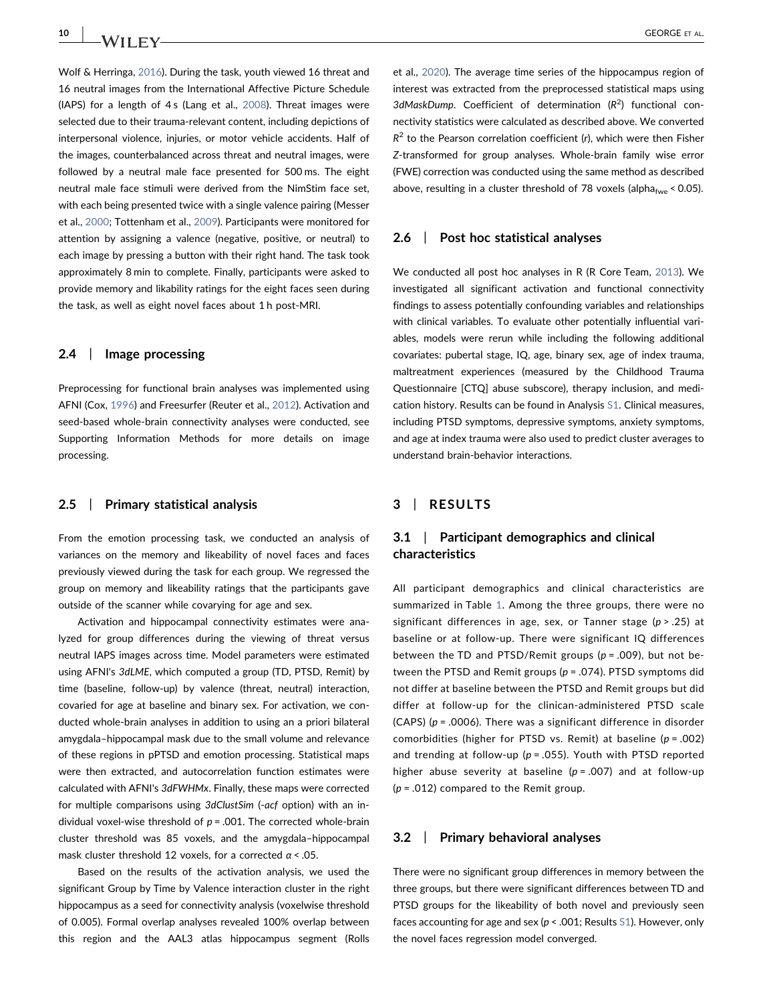10 | **IA/II EX/** GEORGE ET AL.

Wolf & Herringa, [2016](#page-10-1)). During the task, youth viewed 16 threat and 16 neutral images from the International Affective Picture Schedule (IAPS) for a length of 4s (Lang et al., [2008\)](#page-9-6). Threat images were selected due to their trauma-relevant content, including depictions of interpersonal violence, injuries, or motor vehicle accidents. Half of the images, counterbalanced across threat and neutral images, were followed by a neutral male face presented for 500 ms. The eight neutral male face stimuli were derived from the NimStim face set, with each being presented twice with a single valence pairing (Messer et al., [2000](#page-9-7); Tottenham et al., [2009\)](#page-9-8). Participants were monitored for attention by assigning a valence (negative, positive, or neutral) to each image by pressing a button with their right hand. The task took approximately 8 min to complete. Finally, participants were asked to provide memory and likability ratings for the eight faces seen during the task, as well as eight novel faces about 1 h post‐MRI.

### 2.4 | Image processing

Preprocessing for functional brain analyses was implemented using AFNI (Cox, [1996\)](#page-8-8) and Freesurfer (Reuter et al., [2012](#page-9-9)). Activation and seed-based whole-brain connectivity analyses were conducted, see Supporting Information Methods for more details on image processing.

### 2.5 | Primary statistical analysis

From the emotion processing task, we conducted an analysis of variances on the memory and likeability of novel faces and faces previously viewed during the task for each group. We regressed the group on memory and likeability ratings that the participants gave outside of the scanner while covarying for age and sex.

Activation and hippocampal connectivity estimates were analyzed for group differences during the viewing of threat versus neutral IAPS images across time. Model parameters were estimated using AFNI's 3dLME, which computed a group (TD, PTSD, Remit) by time (baseline, follow‐up) by valence (threat, neutral) interaction, covaried for age at baseline and binary sex. For activation, we conducted whole‐brain analyses in addition to using an a priori bilateral amygdala–hippocampal mask due to the small volume and relevance of these regions in pPTSD and emotion processing. Statistical maps were then extracted, and autocorrelation function estimates were calculated with AFNI's 3dFWHMx. Finally, these maps were corrected for multiple comparisons using 3dClustSim (-acf option) with an individual voxel-wise threshold of  $p = .001$ . The corrected whole-brain cluster threshold was 85 voxels, and the amygdala–hippocampal mask cluster threshold 12 voxels, for a corrected  $\alpha$  < .05.

Based on the results of the activation analysis, we used the significant Group by Time by Valence interaction cluster in the right hippocampus as a seed for connectivity analysis (voxelwise threshold of 0.005). Formal overlap analyses revealed 100% overlap between this region and the AAL3 atlas hippocampus segment (Rolls

et al., [2020\)](#page-9-10). The average time series of the hippocampus region of interest was extracted from the preprocessed statistical maps using 3dMaskDump. Coefficient of determination  $(R^2)$  functional connectivity statistics were calculated as described above. We converted  $R^2$  to the Pearson correlation coefficient (r), which were then Fisher Z-transformed for group analyses. Whole-brain family wise error (FWE) correction was conducted using the same method as described above, resulting in a cluster threshold of 78 voxels (alpha<sub>fwe</sub> < 0.05).

### 2.6 | Post hoc statistical analyses

We conducted all post hoc analyses in R (R Core Team, [2013](#page-9-11)). We investigated all significant activation and functional connectivity findings to assess potentially confounding variables and relationships with clinical variables. To evaluate other potentially influential variables, models were rerun while including the following additional covariates: pubertal stage, IQ, age, binary sex, age of index trauma, maltreatment experiences (measured by the Childhood Trauma Questionnaire [CTQ] abuse subscore), therapy inclusion, and medication history. Results can be found in Analysis S1. Clinical measures, including PTSD symptoms, depressive symptoms, anxiety symptoms, and age at index trauma were also used to predict cluster averages to understand brain‐behavior interactions.

### 3 | RESULTS

# 3.1 | Participant demographics and clinical characteristics

All participant demographics and clinical characteristics are summarized in Table [1](#page-3-0). Among the three groups, there were no significant differences in age, sex, or Tanner stage ( $p > .25$ ) at baseline or at follow-up. There were significant IQ differences between the TD and PTSD/Remit groups ( $p = .009$ ), but not between the PTSD and Remit groups ( $p = .074$ ). PTSD symptoms did not differ at baseline between the PTSD and Remit groups but did differ at follow‐up for the clinican‐administered PTSD scale (CAPS) ( $p = .0006$ ). There was a significant difference in disorder comorbidities (higher for PTSD vs. Remit) at baseline ( $p = .002$ ) and trending at follow-up ( $p = .055$ ). Youth with PTSD reported higher abuse severity at baseline ( $p = .007$ ) and at follow-up  $(p = .012)$  compared to the Remit group.

### 3.2 | Primary behavioral analyses

There were no significant group differences in memory between the three groups, but there were significant differences between TD and PTSD groups for the likeability of both novel and previously seen faces accounting for age and sex ( $p < .001$ ; Results S1). However, only the novel faces regression model converged.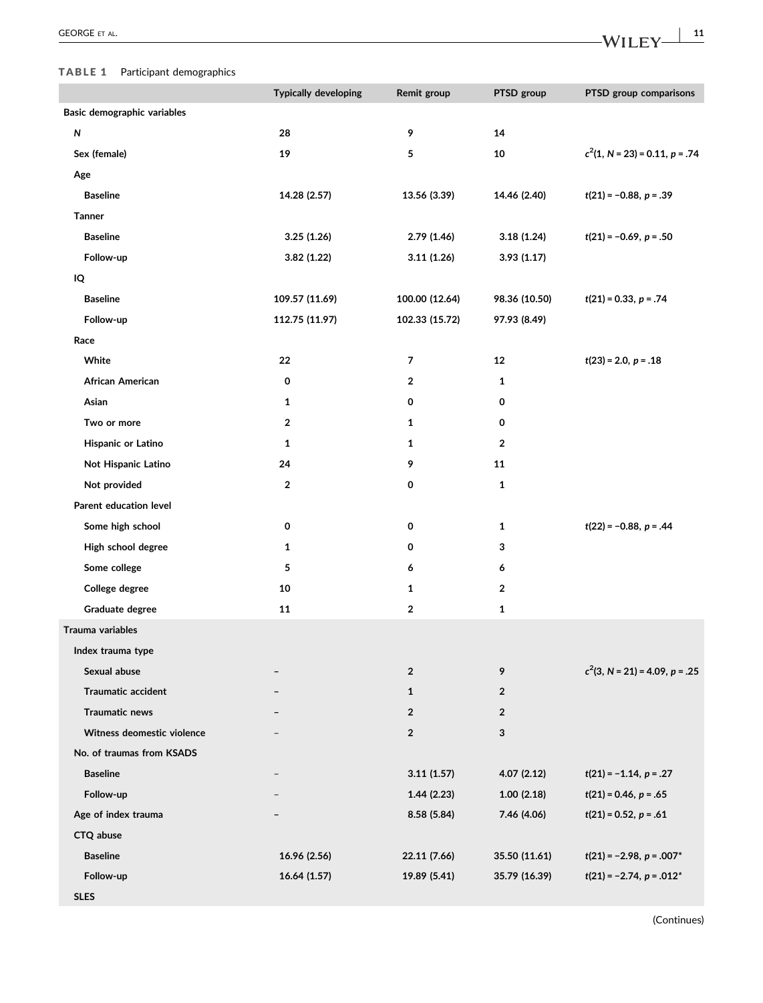I

# <span id="page-3-0"></span>TABLE 1 Participant demographics

|                             | <b>Typically developing</b> | Remit group    | PTSD group     | PTSD group comparisons                    |
|-----------------------------|-----------------------------|----------------|----------------|-------------------------------------------|
| Basic demographic variables |                             |                |                |                                           |
| ${\sf N}$                   | 28                          | 9              | 14             |                                           |
| Sex (female)                | 19                          | 5              | 10             | $c^2(1, N = 23) = 0.11, p = .74$          |
| Age                         |                             |                |                |                                           |
| <b>Baseline</b>             | 14.28 (2.57)                | 13.56 (3.39)   | 14.46 (2.40)   | $t(21) = -0.88, p = .39$                  |
| <b>Tanner</b>               |                             |                |                |                                           |
| <b>Baseline</b>             | 3.25(1.26)                  | 2.79 (1.46)    | 3.18(1.24)     | $t(21) = -0.69, p = .50$                  |
| Follow-up                   | 3.82(1.22)                  | 3.11(1.26)     | 3.93(1.17)     |                                           |
| IQ                          |                             |                |                |                                           |
| <b>Baseline</b>             | 109.57 (11.69)              | 100.00 (12.64) | 98.36 (10.50)  | $t(21) = 0.33, p = .74$                   |
| Follow-up                   | 112.75 (11.97)              | 102.33 (15.72) | 97.93 (8.49)   |                                           |
| Race                        |                             |                |                |                                           |
| White                       | 22                          | 7              | 12             | $t(23) = 2.0, p = .18$                    |
| African American            | 0                           | 2              | 1              |                                           |
| Asian                       | $\mathbf{1}$                | 0              | 0              |                                           |
| Two or more                 | $\overline{2}$              | 1              | 0              |                                           |
| Hispanic or Latino          | $\mathbf{1}$                | 1              | $\overline{2}$ |                                           |
| Not Hispanic Latino         | 24                          | 9              | 11             |                                           |
| Not provided                | $\mathbf{2}$                | 0              | 1              |                                           |
| Parent education level      |                             |                |                |                                           |
| Some high school            | 0                           | 0              | $\mathbf{1}$   | $t(22) = -0.88, p = .44$                  |
| High school degree          | 1                           | 0              | 3              |                                           |
| Some college                | 5                           | 6              | 6              |                                           |
| College degree              | 10                          | 1              | $\overline{2}$ |                                           |
| Graduate degree             | 11                          | 2              | 1              |                                           |
| Trauma variables            |                             |                |                |                                           |
| Index trauma type           |                             |                |                |                                           |
| Sexual abuse                |                             | $\overline{2}$ | 9              | $c2(3, N = 21) = 4.09, p = .25$           |
| <b>Traumatic accident</b>   |                             | $\mathbf{1}$   | $\overline{2}$ |                                           |
| <b>Traumatic news</b>       |                             | $\overline{2}$ | $\overline{2}$ |                                           |
| Witness deomestic violence  |                             | $\overline{2}$ | 3              |                                           |
| No. of traumas from KSADS   |                             |                |                |                                           |
| <b>Baseline</b>             |                             | 3.11(1.57)     | 4.07(2.12)     | $t(21) = -1.14, p = .27$                  |
| Follow-up                   |                             | 1.44(2.23)     | 1.00(2.18)     | $t(21) = 0.46, p = .65$                   |
| Age of index trauma         |                             | 8.58 (5.84)    | 7.46 (4.06)    | $t(21) = 0.52, p = .61$                   |
| CTQ abuse                   |                             |                |                |                                           |
| <b>Baseline</b>             | 16.96 (2.56)                | 22.11 (7.66)   | 35.50 (11.61)  | $t(21) = -2.98, p = .007*$                |
| Follow-up                   | 16.64 (1.57)                | 19.89 (5.41)   | 35.79 (16.39)  | $t(21) = -2.74$ , $p = .012$ <sup>*</sup> |
| <b>SLES</b>                 |                             |                |                |                                           |

(Continues)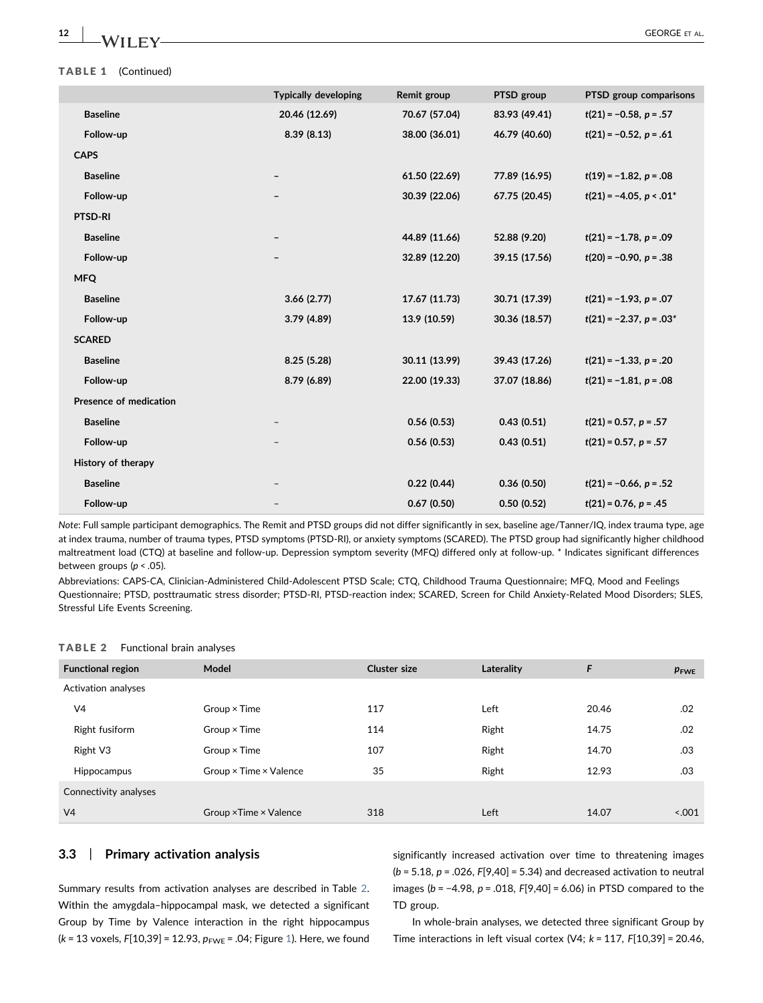#### TABLE 1 (Continued)

|                               | <b>Typically developing</b> | Remit group   | PTSD group    | PTSD group comparisons                   |
|-------------------------------|-----------------------------|---------------|---------------|------------------------------------------|
| <b>Baseline</b>               | 20.46 (12.69)               | 70.67 (57.04) | 83.93 (49.41) | $t(21) = -0.58$ , $p = .57$              |
| Follow-up                     | 8.39(8.13)                  | 38.00 (36.01) | 46.79 (40.60) | $t(21) = -0.52, p = .61$                 |
| <b>CAPS</b>                   |                             |               |               |                                          |
| <b>Baseline</b>               |                             | 61.50 (22.69) | 77.89 (16.95) | $t(19) = -1.82, p = .08$                 |
| Follow-up                     |                             | 30.39 (22.06) | 67.75 (20.45) | $t(21) = -4.05$ , $p < .01$ <sup>*</sup> |
| PTSD-RI                       |                             |               |               |                                          |
| <b>Baseline</b>               |                             | 44.89 (11.66) | 52.88 (9.20)  | $t(21) = -1.78$ , $p = .09$              |
| Follow-up                     |                             | 32.89 (12.20) | 39.15 (17.56) | $t(20) = -0.90, p = .38$                 |
| <b>MFQ</b>                    |                             |               |               |                                          |
| <b>Baseline</b>               | 3.66(2.77)                  | 17.67 (11.73) | 30.71 (17.39) | $t(21) = -1.93$ , $p = .07$              |
| Follow-up                     | 3.79(4.89)                  | 13.9 (10.59)  | 30.36 (18.57) | $t(21) = -2.37, p = .03*$                |
| <b>SCARED</b>                 |                             |               |               |                                          |
| <b>Baseline</b>               | 8.25(5.28)                  | 30.11 (13.99) | 39.43 (17.26) | $t(21) = -1.33, p = .20$                 |
| Follow-up                     | 8.79 (6.89)                 | 22.00 (19.33) | 37.07 (18.86) | $t(21) = -1.81, p = .08$                 |
| <b>Presence of medication</b> |                             |               |               |                                          |
| <b>Baseline</b>               |                             | 0.56(0.53)    | 0.43(0.51)    | $t(21) = 0.57, p = .57$                  |
| Follow-up                     |                             | 0.56(0.53)    | 0.43(0.51)    | $t(21) = 0.57$ , $p = .57$               |
| History of therapy            |                             |               |               |                                          |
| <b>Baseline</b>               |                             | 0.22(0.44)    | 0.36(0.50)    | $t(21) = -0.66, p = .52$                 |
| Follow-up                     |                             | 0.67(0.50)    | 0.50(0.52)    | $t(21) = 0.76$ , $p = .45$               |
|                               |                             |               |               |                                          |

Note: Full sample participant demographics. The Remit and PTSD groups did not differ significantly in sex, baseline age/Tanner/IQ, index trauma type, age at index trauma, number of trauma types, PTSD symptoms (PTSD‐RI), or anxiety symptoms (SCARED). The PTSD group had significantly higher childhood maltreatment load (CTQ) at baseline and follow‐up. Depression symptom severity (MFQ) differed only at follow‐up. \* Indicates significant differences between groups ( $p < .05$ ).

Abbreviations: CAPS‐CA, Clinician‐Administered Child‐Adolescent PTSD Scale; CTQ, Childhood Trauma Questionnaire; MFQ, Mood and Feelings Questionnaire; PTSD, posttraumatic stress disorder; PTSD‐RI, PTSD‐reaction index; SCARED, Screen for Child Anxiety‐Related Mood Disorders; SLES, Stressful Life Events Screening.

#### <span id="page-4-0"></span>TABLE 2 Functional brain analyses

| Model                                | <b>Cluster size</b> | Laterality | F     | $p_{\text{FWE}}$ |  |  |
|--------------------------------------|---------------------|------------|-------|------------------|--|--|
|                                      |                     |            |       |                  |  |  |
| $Group \times Time$                  | 117                 | Left       | 20.46 | .02              |  |  |
| Group $\times$ Time                  | 114                 | Right      | 14.75 | .02              |  |  |
| Group $\times$ Time                  | 107                 | Right      | 14.70 | .03              |  |  |
| Group $\times$ Time $\times$ Valence | 35                  | Right      | 12.93 | .03              |  |  |
| Connectivity analyses                |                     |            |       |                  |  |  |
| Group × Time × Valence               | 318                 | Left       | 14.07 | 5.001            |  |  |
|                                      |                     |            |       |                  |  |  |

# 3.3 | Primary activation analysis

Summary results from activation analyses are described in Table [2.](#page-4-0) Within the amygdala–hippocampal mask, we detected a significant Group by Time by Valence interaction in the right hippocampus (k = 13 voxels,  $F[10,39] = 12.93$ ,  $p_{FWE} = .04$ ; Figure [1\)](#page-5-0). Here, we found

significantly increased activation over time to threatening images  $(b = 5.18, p = .026, F[9,40] = 5.34)$  and decreased activation to neutral images ( $b = -4.98$ ,  $p = .018$ ,  $F[9,40] = 6.06$ ) in PTSD compared to the TD group.

In whole‐brain analyses, we detected three significant Group by Time interactions in left visual cortex (V4;  $k = 117$ ,  $F[10,39] = 20.46$ ,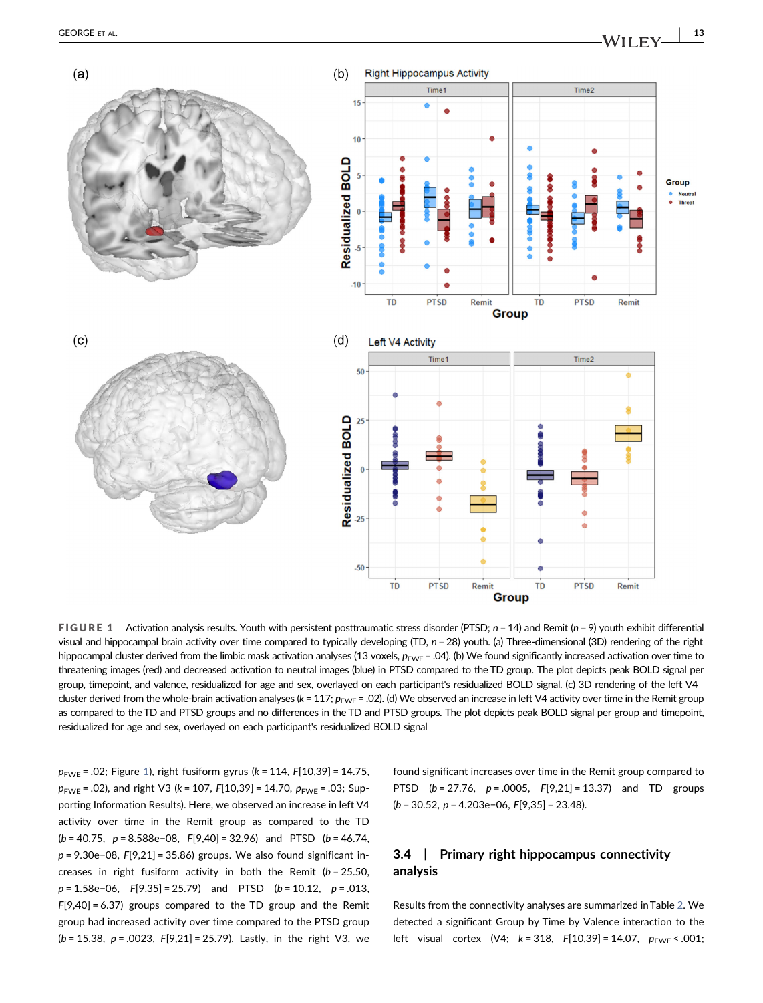<span id="page-5-0"></span>

FIGURE 1 Activation analysis results. Youth with persistent posttraumatic stress disorder (PTSD;  $n = 14$ ) and Remit ( $n = 9$ ) youth exhibit differential visual and hippocampal brain activity over time compared to typically developing (TD, n = 28) youth. (a) Three-dimensional (3D) rendering of the right hippocampal cluster derived from the limbic mask activation analyses (13 voxels,  $p_{\text{FWE}} = .04$ ). (b) We found significantly increased activation over time to threatening images (red) and decreased activation to neutral images (blue) in PTSD compared to the TD group. The plot depicts peak BOLD signal per group, timepoint, and valence, residualized for age and sex, overlayed on each participant's residualized BOLD signal. (c) 3D rendering of the left V4 cluster derived from the whole-brain activation analyses (k = 117;  $p_{\text{FWE}} = .02$ ). (d) We observed an increase in left V4 activity over time in the Remit group as compared to the TD and PTSD groups and no differences in the TD and PTSD groups. The plot depicts peak BOLD signal per group and timepoint, residualized for age and sex, overlayed on each participant's residualized BOLD signal

 $p_{\text{FWE}}$  = .02; Figure [1](#page-5-0)), right fusiform gyrus (k = 114, F[10,39] = 14.75,  $p_{\text{FWE}}$  = .02), and right V3 (k = 107, F[10,39] = 14.70,  $p_{\text{FWE}}$  = .03; Supporting Information Results). Here, we observed an increase in left V4 activity over time in the Remit group as compared to the TD  $(b = 40.75, p = 8.588e-08, F[9,40] = 32.96)$  and PTSD  $(b = 46.74,$ p = 9.30e−08, F[9,21] = 35.86) groups. We also found significant increases in right fusiform activity in both the Remit ( $b = 25.50$ ,  $p = 1.58e-06$ ,  $F[9,35] = 25.79$  and PTSD  $(b = 10.12, p = .013,$ F[9,40] = 6.37) groups compared to the TD group and the Remit group had increased activity over time compared to the PTSD group  $(b = 15.38, p = .0023, F[9,21] = 25.79)$ . Lastly, in the right V3, we

found significant increases over time in the Remit group compared to PTSD  $(b = 27.76, p = .0005, F[9,21] = 13.37)$  and TD groups (b = 30.52, p = 4.203e−06, F[9,35] = 23.48).

# 3.4 | Primary right hippocampus connectivity analysis

Results from the connectivity analyses are summarized in Table [2](#page-4-0). We detected a significant Group by Time by Valence interaction to the left visual cortex (V4;  $k = 318$ ,  $F[10,39] = 14.07$ ,  $p_{FWE} < .001$ ;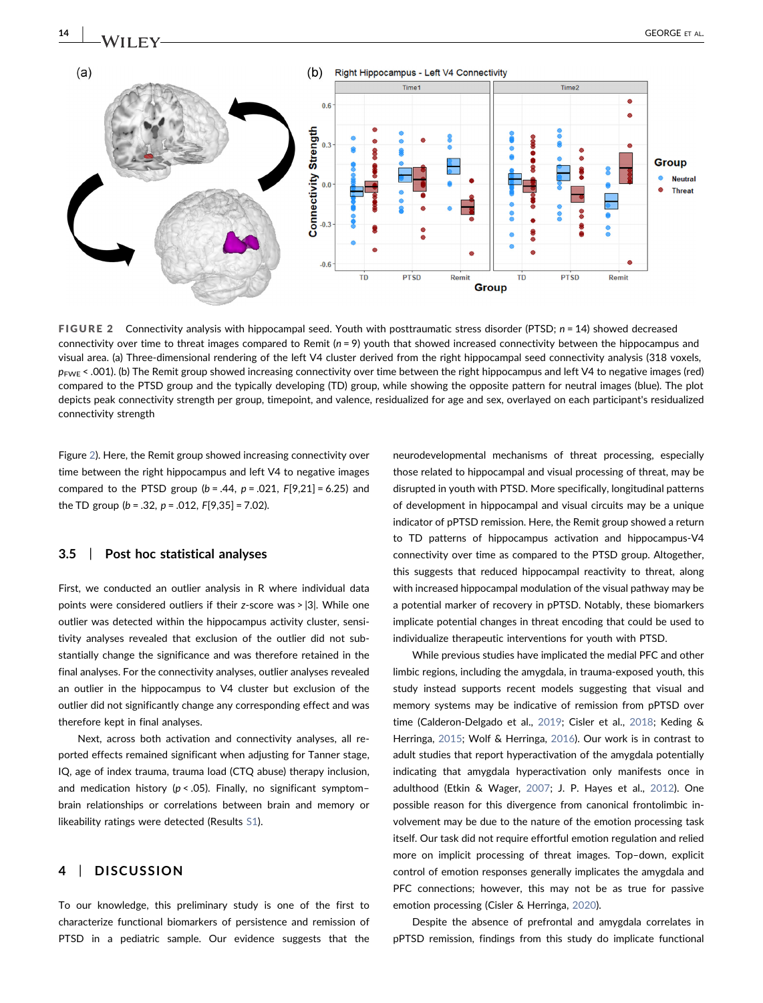<span id="page-6-0"></span>

FIGURE 2 Connectivity analysis with hippocampal seed. Youth with posttraumatic stress disorder (PTSD;  $n = 14$ ) showed decreased connectivity over time to threat images compared to Remit  $(n = 9)$  youth that showed increased connectivity between the hippocampus and visual area. (a) Three‐dimensional rendering of the left V4 cluster derived from the right hippocampal seed connectivity analysis (318 voxels,  $p_{\text{FWE}}$  < .001). (b) The Remit group showed increasing connectivity over time between the right hippocampus and left V4 to negative images (red) compared to the PTSD group and the typically developing (TD) group, while showing the opposite pattern for neutral images (blue). The plot depicts peak connectivity strength per group, timepoint, and valence, residualized for age and sex, overlayed on each participant's residualized connectivity strength

Figure [2](#page-6-0)). Here, the Remit group showed increasing connectivity over time between the right hippocampus and left V4 to negative images compared to the PTSD group  $(b = .44, p = .021, F[9,21] = 6.25)$  and the TD group ( $b = .32$ ,  $p = .012$ ,  $F[9,35] = 7.02$ ).

### 3.5 | Post hoc statistical analyses

First, we conducted an outlier analysis in R where individual data points were considered outliers if their z‐score was > |3|. While one outlier was detected within the hippocampus activity cluster, sensitivity analyses revealed that exclusion of the outlier did not substantially change the significance and was therefore retained in the final analyses. For the connectivity analyses, outlier analyses revealed an outlier in the hippocampus to V4 cluster but exclusion of the outlier did not significantly change any corresponding effect and was therefore kept in final analyses.

Next, across both activation and connectivity analyses, all reported effects remained significant when adjusting for Tanner stage, IQ, age of index trauma, trauma load (CTQ abuse) therapy inclusion, and medication history ( $p < .05$ ). Finally, no significant symptombrain relationships or correlations between brain and memory or likeability ratings were detected (Results S1).

## 4 | DISCUSSION

To our knowledge, this preliminary study is one of the first to characterize functional biomarkers of persistence and remission of PTSD in a pediatric sample. Our evidence suggests that the

neurodevelopmental mechanisms of threat processing, especially those related to hippocampal and visual processing of threat, may be disrupted in youth with PTSD. More specifically, longitudinal patterns of development in hippocampal and visual circuits may be a unique indicator of pPTSD remission. Here, the Remit group showed a return to TD patterns of hippocampus activation and hippocampus‐V4 connectivity over time as compared to the PTSD group. Altogether, this suggests that reduced hippocampal reactivity to threat, along with increased hippocampal modulation of the visual pathway may be a potential marker of recovery in pPTSD. Notably, these biomarkers implicate potential changes in threat encoding that could be used to individualize therapeutic interventions for youth with PTSD.

While previous studies have implicated the medial PFC and other limbic regions, including the amygdala, in trauma‐exposed youth, this study instead supports recent models suggesting that visual and memory systems may be indicative of remission from pPTSD over time (Calderon‐Delgado et al., [2019](#page-8-9); Cisler et al., [2018](#page-8-10); Keding & Herringa, [2015;](#page-9-12) Wolf & Herringa, [2016\)](#page-10-1). Our work is in contrast to adult studies that report hyperactivation of the amygdala potentially indicating that amygdala hyperactivation only manifests once in adulthood (Etkin & Wager, [2007](#page-8-11); J. P. Hayes et al., [2012](#page-8-12)). One possible reason for this divergence from canonical frontolimbic involvement may be due to the nature of the emotion processing task itself. Our task did not require effortful emotion regulation and relied more on implicit processing of threat images. Top–down, explicit control of emotion responses generally implicates the amygdala and PFC connections; however, this may not be as true for passive emotion processing (Cisler & Herringa, [2020](#page-8-2)).

Despite the absence of prefrontal and amygdala correlates in pPTSD remission, findings from this study do implicate functional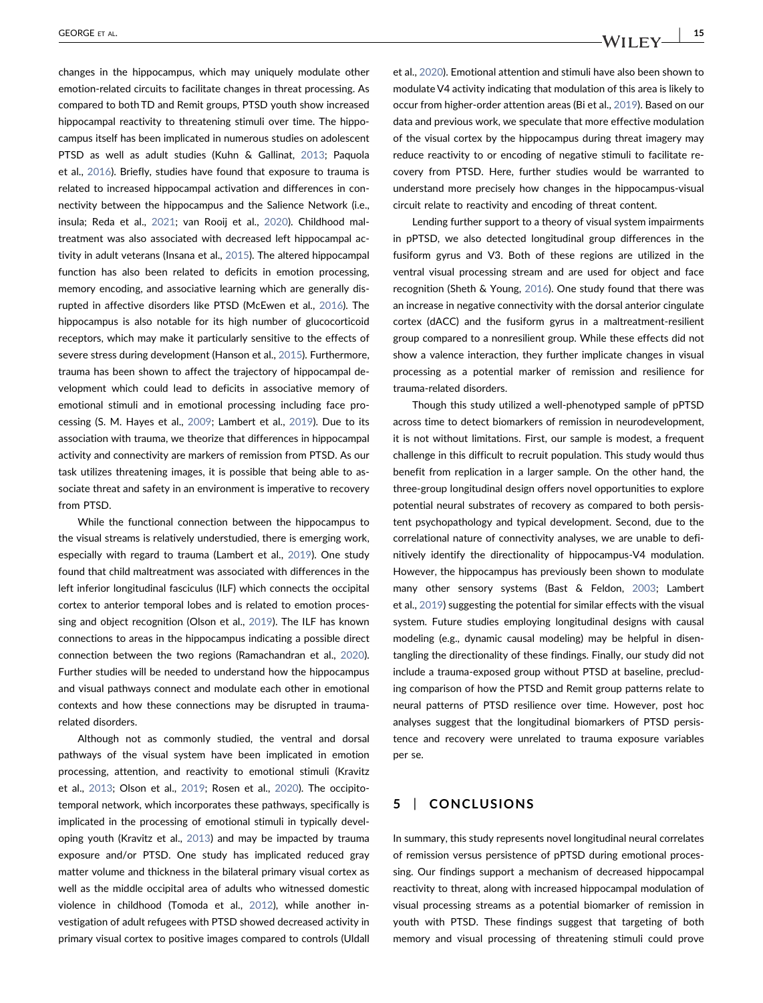changes in the hippocampus, which may uniquely modulate other emotion‐related circuits to facilitate changes in threat processing. As compared to both TD and Remit groups, PTSD youth show increased hippocampal reactivity to threatening stimuli over time. The hippocampus itself has been implicated in numerous studies on adolescent PTSD as well as adult studies (Kuhn & Gallinat, [2013](#page-9-13); Paquola et al., [2016\)](#page-9-14). Briefly, studies have found that exposure to trauma is related to increased hippocampal activation and differences in connectivity between the hippocampus and the Salience Network (i.e., insula; Reda et al., [2021;](#page-9-15) van Rooij et al., [2020\)](#page-9-16). Childhood maltreatment was also associated with decreased left hippocampal activity in adult veterans (Insana et al., [2015\)](#page-9-17). The altered hippocampal function has also been related to deficits in emotion processing, memory encoding, and associative learning which are generally disrupted in affective disorders like PTSD (McEwen et al., [2016\)](#page-9-18). The hippocampus is also notable for its high number of glucocorticoid receptors, which may make it particularly sensitive to the effects of severe stress during development (Hanson et al., [2015\)](#page-8-13). Furthermore, trauma has been shown to affect the trajectory of hippocampal development which could lead to deficits in associative memory of emotional stimuli and in emotional processing including face processing (S. M. Hayes et al., [2009](#page-8-14); Lambert et al., [2019](#page-9-19)). Due to its association with trauma, we theorize that differences in hippocampal activity and connectivity are markers of remission from PTSD. As our task utilizes threatening images, it is possible that being able to associate threat and safety in an environment is imperative to recovery from PTSD.

While the functional connection between the hippocampus to the visual streams is relatively understudied, there is emerging work, especially with regard to trauma (Lambert et al., [2019](#page-9-19)). One study found that child maltreatment was associated with differences in the left inferior longitudinal fasciculus (ILF) which connects the occipital cortex to anterior temporal lobes and is related to emotion processing and object recognition (Olson et al., [2019\)](#page-9-20). The ILF has known connections to areas in the hippocampus indicating a possible direct connection between the two regions (Ramachandran et al., [2020](#page-9-21)). Further studies will be needed to understand how the hippocampus and visual pathways connect and modulate each other in emotional contexts and how these connections may be disrupted in trauma‐ related disorders.

Although not as commonly studied, the ventral and dorsal pathways of the visual system have been implicated in emotion processing, attention, and reactivity to emotional stimuli (Kravitz et al., [2013;](#page-9-22) Olson et al., [2019;](#page-9-20) Rosen et al., [2020](#page-9-23)). The occipitotemporal network, which incorporates these pathways, specifically is implicated in the processing of emotional stimuli in typically developing youth (Kravitz et al., [2013](#page-9-22)) and may be impacted by trauma exposure and/or PTSD. One study has implicated reduced gray matter volume and thickness in the bilateral primary visual cortex as well as the middle occipital area of adults who witnessed domestic violence in childhood (Tomoda et al., [2012](#page-9-24)), while another investigation of adult refugees with PTSD showed decreased activity in primary visual cortex to positive images compared to controls (Uldall et al., [2020\)](#page-9-25). Emotional attention and stimuli have also been shown to modulate V4 activity indicating that modulation of this area is likely to occur from higher‐order attention areas (Bi et al., [2019\)](#page-8-15). Based on our data and previous work, we speculate that more effective modulation of the visual cortex by the hippocampus during threat imagery may reduce reactivity to or encoding of negative stimuli to facilitate recovery from PTSD. Here, further studies would be warranted to understand more precisely how changes in the hippocampus‐visual circuit relate to reactivity and encoding of threat content.

Lending further support to a theory of visual system impairments in pPTSD, we also detected longitudinal group differences in the fusiform gyrus and V3. Both of these regions are utilized in the ventral visual processing stream and are used for object and face recognition (Sheth & Young, [2016](#page-9-26)). One study found that there was an increase in negative connectivity with the dorsal anterior cingulate cortex (dACC) and the fusiform gyrus in a maltreatment‐resilient group compared to a nonresilient group. While these effects did not show a valence interaction, they further implicate changes in visual processing as a potential marker of remission and resilience for trauma‐related disorders.

Though this study utilized a well‐phenotyped sample of pPTSD across time to detect biomarkers of remission in neurodevelopment, it is not without limitations. First, our sample is modest, a frequent challenge in this difficult to recruit population. This study would thus benefit from replication in a larger sample. On the other hand, the three‐group longitudinal design offers novel opportunities to explore potential neural substrates of recovery as compared to both persistent psychopathology and typical development. Second, due to the correlational nature of connectivity analyses, we are unable to definitively identify the directionality of hippocampus‐V4 modulation. However, the hippocampus has previously been shown to modulate many other sensory systems (Bast & Feldon, [2003](#page-8-16); Lambert et al., [2019\)](#page-9-19) suggesting the potential for similar effects with the visual system. Future studies employing longitudinal designs with causal modeling (e.g., dynamic causal modeling) may be helpful in disentangling the directionality of these findings. Finally, our study did not include a trauma‐exposed group without PTSD at baseline, precluding comparison of how the PTSD and Remit group patterns relate to neural patterns of PTSD resilience over time. However, post hoc analyses suggest that the longitudinal biomarkers of PTSD persistence and recovery were unrelated to trauma exposure variables per se.

# 5 | CONCLUSIONS

In summary, this study represents novel longitudinal neural correlates of remission versus persistence of pPTSD during emotional processing. Our findings support a mechanism of decreased hippocampal reactivity to threat, along with increased hippocampal modulation of visual processing streams as a potential biomarker of remission in youth with PTSD. These findings suggest that targeting of both memory and visual processing of threatening stimuli could prove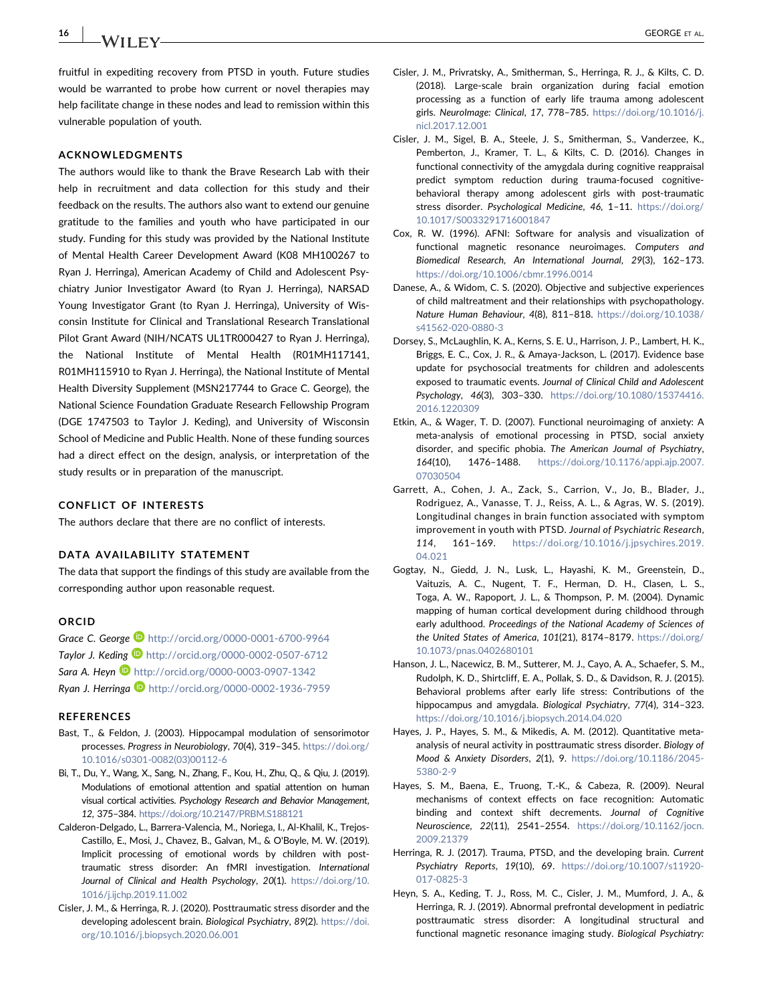16 | **IA/II EV** 

fruitful in expediting recovery from PTSD in youth. Future studies would be warranted to probe how current or novel therapies may help facilitate change in these nodes and lead to remission within this vulnerable population of youth.

### ACKNOWLEDGMENTS

The authors would like to thank the Brave Research Lab with their help in recruitment and data collection for this study and their feedback on the results. The authors also want to extend our genuine gratitude to the families and youth who have participated in our study. Funding for this study was provided by the National Institute of Mental Health Career Development Award (K08 MH100267 to Ryan J. Herringa), American Academy of Child and Adolescent Psychiatry Junior Investigator Award (to Ryan J. Herringa), NARSAD Young Investigator Grant (to Ryan J. Herringa), University of Wisconsin Institute for Clinical and Translational Research Translational Pilot Grant Award (NIH/NCATS UL1TR000427 to Ryan J. Herringa), the National Institute of Mental Health (R01MH117141, R01MH115910 to Ryan J. Herringa), the National Institute of Mental Health Diversity Supplement (MSN217744 to Grace C. George), the National Science Foundation Graduate Research Fellowship Program (DGE 1747503 to Taylor J. Keding), and University of Wisconsin School of Medicine and Public Health. None of these funding sources had a direct effect on the design, analysis, or interpretation of the study results or in preparation of the manuscript.

### CONFLICT OF INTERESTS

The authors declare that there are no conflict of interests.

### DATA AVAILABILITY STATEMENT

The data that support the findings of this study are available from the corresponding author upon reasonable request.

#### ORCID

Grace C. George **b** <http://orcid.org/0000-0001-6700-9964> Taylor J. Keding **b** <http://orcid.org/0000-0002-0507-6712> Sara A. Heyn **b** <http://orcid.org/0000-0003-0907-1342> Ryan J. Herringa inttp://orcid.org/0000-0002-1936-7959

#### REFERENCES

- <span id="page-8-16"></span>Bast, T., & Feldon, J. (2003). Hippocampal modulation of sensorimotor processes. Progress in Neurobiology, 70(4), 319–345. [https://doi.org/](https://doi.org/10.1016/s0301-0082(03)00112-6) [10.1016/s0301-0082\(03\)00112-6](https://doi.org/10.1016/s0301-0082(03)00112-6)
- <span id="page-8-15"></span>Bi, T., Du, Y., Wang, X., Sang, N., Zhang, F., Kou, H., Zhu, Q., & Qiu, J. (2019). Modulations of emotional attention and spatial attention on human visual cortical activities. Psychology Research and Behavior Management, 12, 375–384. <https://doi.org/10.2147/PRBM.S188121>
- <span id="page-8-9"></span>Calderon‐Delgado, L., Barrera‐Valencia, M., Noriega, I., Al‐Khalil, K., Trejos‐ Castillo, E., Mosi, J., Chavez, B., Galvan, M., & O'Boyle, M. W. (2019). Implicit processing of emotional words by children with posttraumatic stress disorder: An fMRI investigation. International Journal of Clinical and Health Psychology, 20(1). [https://doi.org/10.](https://doi.org/10.1016/j.ijchp.2019.11.002) [1016/j.ijchp.2019.11.002](https://doi.org/10.1016/j.ijchp.2019.11.002)
- <span id="page-8-2"></span>Cisler, J. M., & Herringa, R. J. (2020). Posttraumatic stress disorder and the developing adolescent brain. Biological Psychiatry, 89(2). [https://doi.](https://doi.org/10.1016/j.biopsych.2020.06.001) [org/10.1016/j.biopsych.2020.06.001](https://doi.org/10.1016/j.biopsych.2020.06.001)
- <span id="page-8-10"></span>Cisler, J. M., Privratsky, A., Smitherman, S., Herringa, R. J., & Kilts, C. D. (2018). Large‐scale brain organization during facial emotion processing as a function of early life trauma among adolescent girls. NeuroImage: Clinical, 17, 778–785. [https://doi.org/10.1016/j.](https://doi.org/10.1016/j.nicl.2017.12.001) [nicl.2017.12.001](https://doi.org/10.1016/j.nicl.2017.12.001)
- <span id="page-8-7"></span>Cisler, J. M., Sigel, B. A., Steele, J. S., Smitherman, S., Vanderzee, K., Pemberton, J., Kramer, T. L., & Kilts, C. D. (2016). Changes in functional connectivity of the amygdala during cognitive reappraisal predict symptom reduction during trauma‐focused cognitive‐ behavioral therapy among adolescent girls with post-traumatic stress disorder. Psychological Medicine, 46, 1–11. [https://doi.org/](https://doi.org/10.1017/S0033291716001847) [10.1017/S0033291716001847](https://doi.org/10.1017/S0033291716001847)
- <span id="page-8-8"></span>Cox, R. W. (1996). AFNI: Software for analysis and visualization of functional magnetic resonance neuroimages. Computers and Biomedical Research, An International Journal, 29(3), 162–173. <https://doi.org/10.1006/cbmr.1996.0014>
- <span id="page-8-0"></span>Danese, A., & Widom, C. S. (2020). Objective and subjective experiences of child maltreatment and their relationships with psychopathology. Nature Human Behaviour, 4(8), 811–818. [https://doi.org/10.1038/](https://doi.org/10.1038/s41562-020-0880-3) [s41562-020-0880-3](https://doi.org/10.1038/s41562-020-0880-3)
- <span id="page-8-1"></span>Dorsey, S., McLaughlin, K. A., Kerns, S. E. U., Harrison, J. P., Lambert, H. K., Briggs, E. C., Cox, J. R., & Amaya‐Jackson, L. (2017). Evidence base update for psychosocial treatments for children and adolescents exposed to traumatic events. Journal of Clinical Child and Adolescent Psychology, 46(3), 303–330. [https://doi.org/10.1080/15374416.](https://doi.org/10.1080/15374416.2016.1220309) [2016.1220309](https://doi.org/10.1080/15374416.2016.1220309)
- <span id="page-8-11"></span>Etkin, A., & Wager, T. D. (2007). Functional neuroimaging of anxiety: A meta‐analysis of emotional processing in PTSD, social anxiety disorder, and specific phobia. The American Journal of Psychiatry, 164(10), 1476–1488. [https://doi.org/10.1176/appi.ajp.2007.](https://doi.org/10.1176/appi.ajp.2007.07030504) [07030504](https://doi.org/10.1176/appi.ajp.2007.07030504)
- <span id="page-8-5"></span>Garrett, A., Cohen, J. A., Zack, S., Carrion, V., Jo, B., Blader, J., Rodriguez, A., Vanasse, T. J., Reiss, A. L., & Agras, W. S. (2019). Longitudinal changes in brain function associated with symptom improvement in youth with PTSD. Journal of Psychiatric Research, 114, 161–169. [https://doi.org/10.1016/j.jpsychires.2019.](https://doi.org/10.1016/j.jpsychires.2019.04.021) [04.021](https://doi.org/10.1016/j.jpsychires.2019.04.021)
- <span id="page-8-4"></span>Gogtay, N., Giedd, J. N., Lusk, L., Hayashi, K. M., Greenstein, D., Vaituzis, A. C., Nugent, T. F., Herman, D. H., Clasen, L. S., Toga, A. W., Rapoport, J. L., & Thompson, P. M. (2004). Dynamic mapping of human cortical development during childhood through early adulthood. Proceedings of the National Academy of Sciences of the United States of America, 101(21), 8174–8179. [https://doi.org/](https://doi.org/10.1073/pnas.0402680101) [10.1073/pnas.0402680101](https://doi.org/10.1073/pnas.0402680101)
- <span id="page-8-13"></span>Hanson, J. L., Nacewicz, B. M., Sutterer, M. J., Cayo, A. A., Schaefer, S. M., Rudolph, K. D., Shirtcliff, E. A., Pollak, S. D., & Davidson, R. J. (2015). Behavioral problems after early life stress: Contributions of the hippocampus and amygdala. Biological Psychiatry, 77(4), 314–323. <https://doi.org/10.1016/j.biopsych.2014.04.020>
- <span id="page-8-12"></span>Hayes, J. P., Hayes, S. M., & Mikedis, A. M. (2012). Quantitative meta‐ analysis of neural activity in posttraumatic stress disorder. Biology of Mood & Anxiety Disorders, 2(1), 9. [https://doi.org/10.1186/2045-](https://doi.org/10.1186/2045-5380-2-9) [5380-2-9](https://doi.org/10.1186/2045-5380-2-9)
- <span id="page-8-14"></span>Hayes, S. M., Baena, E., Truong, T.‐K., & Cabeza, R. (2009). Neural mechanisms of context effects on face recognition: Automatic binding and context shift decrements. Journal of Cognitive Neuroscience, 22(11), 2541–2554. [https://doi.org/10.1162/jocn.](https://doi.org/10.1162/jocn.2009.21379) [2009.21379](https://doi.org/10.1162/jocn.2009.21379)
- <span id="page-8-3"></span>Herringa, R. J. (2017). Trauma, PTSD, and the developing brain. Current Psychiatry Reports, 19(10), 69. [https://doi.org/10.1007/s11920-](https://doi.org/10.1007/s11920-017-0825-3) [017-0825-3](https://doi.org/10.1007/s11920-017-0825-3)
- <span id="page-8-6"></span>Heyn, S. A., Keding, T. J., Ross, M. C., Cisler, J. M., Mumford, J. A., & Herringa, R. J. (2019). Abnormal prefrontal development in pediatric posttraumatic stress disorder: A longitudinal structural and functional magnetic resonance imaging study. Biological Psychiatry: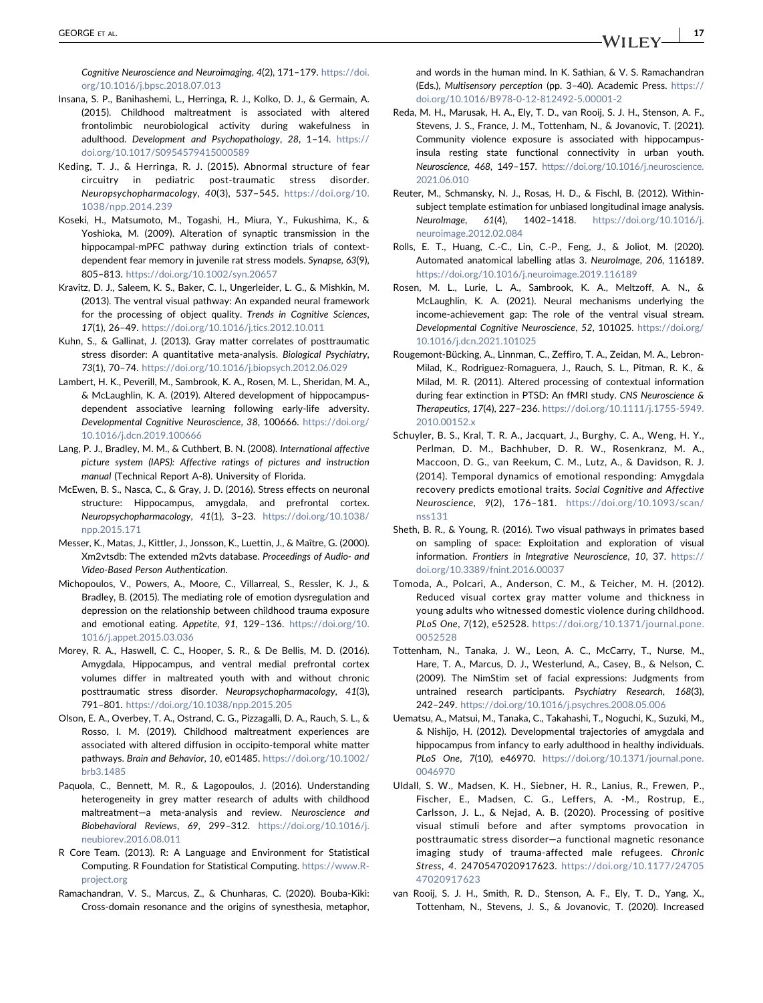Cognitive Neuroscience and Neuroimaging, 4(2), 171–179. [https://doi.](https://doi.org/10.1016/j.bpsc.2018.07.013) [org/10.1016/j.bpsc.2018.07.013](https://doi.org/10.1016/j.bpsc.2018.07.013)

- <span id="page-9-17"></span>Insana, S. P., Banihashemi, L., Herringa, R. J., Kolko, D. J., & Germain, A. (2015). Childhood maltreatment is associated with altered frontolimbic neurobiological activity during wakefulness in adulthood. Development and Psychopathology, 28, 1–14. [https://](https://doi.org/10.1017/S0954579415000589) [doi.org/10.1017/S0954579415000589](https://doi.org/10.1017/S0954579415000589)
- <span id="page-9-12"></span>Keding, T. J., & Herringa, R. J. (2015). Abnormal structure of fear circuitry in pediatric post‐traumatic stress disorder. Neuropsychopharmacology, 40(3), 537–545. [https://doi.org/10.](https://doi.org/10.1038/npp.2014.239) [1038/npp.2014.239](https://doi.org/10.1038/npp.2014.239)
- <span id="page-9-1"></span>Koseki, H., Matsumoto, M., Togashi, H., Miura, Y., Fukushima, K., & Yoshioka, M. (2009). Alteration of synaptic transmission in the hippocampal-mPFC pathway during extinction trials of contextdependent fear memory in juvenile rat stress models. Synapse, 63(9), 805–813. <https://doi.org/10.1002/syn.20657>
- <span id="page-9-22"></span>Kravitz, D. J., Saleem, K. S., Baker, C. I., Ungerleider, L. G., & Mishkin, M. (2013). The ventral visual pathway: An expanded neural framework for the processing of object quality. Trends in Cognitive Sciences, 17(1), 26–49. <https://doi.org/10.1016/j.tics.2012.10.011>
- <span id="page-9-13"></span>Kuhn, S., & Gallinat, J. (2013). Gray matter correlates of posttraumatic stress disorder: A quantitative meta-analysis. Biological Psychiatry, 73(1), 70–74. <https://doi.org/10.1016/j.biopsych.2012.06.029>
- <span id="page-9-19"></span>Lambert, H. K., Peverill, M., Sambrook, K. A., Rosen, M. L., Sheridan, M. A., & McLaughlin, K. A. (2019). Altered development of hippocampus‐ dependent associative learning following early‐life adversity. Developmental Cognitive Neuroscience, 38, 100666. [https://doi.org/](https://doi.org/10.1016/j.dcn.2019.100666) [10.1016/j.dcn.2019.100666](https://doi.org/10.1016/j.dcn.2019.100666)
- <span id="page-9-6"></span>Lang, P. J., Bradley, M. M., & Cuthbert, B. N. (2008). International affective picture system (IAPS): Affective ratings of pictures and instruction manual (Technical Report A‐8). University of Florida.
- <span id="page-9-18"></span>McEwen, B. S., Nasca, C., & Gray, J. D. (2016). Stress effects on neuronal structure: Hippocampus, amygdala, and prefrontal cortex. Neuropsychopharmacology, 41(1), 3–23. [https://doi.org/10.1038/](https://doi.org/10.1038/npp.2015.171) [npp.2015.171](https://doi.org/10.1038/npp.2015.171)
- <span id="page-9-7"></span>Messer, K., Matas, J., Kittler, J., Jonsson, K., Luettin, J., & Maître, G. (2000). Xm2vtsdb: The extended m2vts database. Proceedings of Audio‐ and Video‐Based Person Authentication.
- <span id="page-9-0"></span>Michopoulos, V., Powers, A., Moore, C., Villarreal, S., Ressler, K. J., & Bradley, B. (2015). The mediating role of emotion dysregulation and depression on the relationship between childhood trauma exposure and emotional eating. Appetite, 91, 129–136. [https://doi.org/10.](https://doi.org/10.1016/j.appet.2015.03.036) [1016/j.appet.2015.03.036](https://doi.org/10.1016/j.appet.2015.03.036)
- <span id="page-9-2"></span>Morey, R. A., Haswell, C. C., Hooper, S. R., & De Bellis, M. D. (2016). Amygdala, Hippocampus, and ventral medial prefrontal cortex volumes differ in maltreated youth with and without chronic posttraumatic stress disorder. Neuropsychopharmacology, 41(3), 791–801. <https://doi.org/10.1038/npp.2015.205>
- <span id="page-9-20"></span>Olson, E. A., Overbey, T. A., Ostrand, C. G., Pizzagalli, D. A., Rauch, S. L., & Rosso, I. M. (2019). Childhood maltreatment experiences are associated with altered diffusion in occipito‐temporal white matter pathways. Brain and Behavior, 10, e01485. [https://doi.org/10.1002/](https://doi.org/10.1002/brb3.1485) [brb3.1485](https://doi.org/10.1002/brb3.1485)
- <span id="page-9-14"></span>Paquola, C., Bennett, M. R., & Lagopoulos, J. (2016). Understanding heterogeneity in grey matter research of adults with childhood maltreatment-a meta-analysis and review. Neuroscience and Biobehavioral Reviews, 69, 299–312. [https://doi.org/10.1016/j.](https://doi.org/10.1016/j.neubiorev.2016.08.011) [neubiorev.2016.08.011](https://doi.org/10.1016/j.neubiorev.2016.08.011)
- <span id="page-9-11"></span>R Core Team. (2013). R: A Language and Environment for Statistical Computing. R Foundation for Statistical Computing. [https://www.R](https://www.R-project.org)[project.org](https://www.R-project.org)
- <span id="page-9-21"></span>Ramachandran, V. S., Marcus, Z., & Chunharas, C. (2020). Bouba‐Kiki: Cross‐domain resonance and the origins of synesthesia, metaphor,

and words in the human mind. In K. Sathian, & V. S. Ramachandran (Eds.), Multisensory perception (pp. 3–40). Academic Press. [https://](https://doi.org/10.1016/B978-0-12-812492-5.00001-2) [doi.org/10.1016/B978-0-12-812492-5.00001-2](https://doi.org/10.1016/B978-0-12-812492-5.00001-2)

- <span id="page-9-15"></span>Reda, M. H., Marusak, H. A., Ely, T. D., van Rooij, S. J. H., Stenson, A. F., Stevens, J. S., France, J. M., Tottenham, N., & Jovanovic, T. (2021). Community violence exposure is associated with hippocampus‐ insula resting state functional connectivity in urban youth. Neuroscience, 468, 149–157. [https://doi.org/10.1016/j.neuroscience.](https://doi.org/10.1016/j.neuroscience.2021.06.010) [2021.06.010](https://doi.org/10.1016/j.neuroscience.2021.06.010)
- <span id="page-9-9"></span>Reuter, M., Schmansky, N. J., Rosas, H. D., & Fischl, B. (2012). Within‐ subject template estimation for unbiased longitudinal image analysis. NeuroImage, 61(4), 1402–1418. [https://doi.org/10.1016/j.](https://doi.org/10.1016/j.neuroimage.2012.02.084) [neuroimage.2012.02.084](https://doi.org/10.1016/j.neuroimage.2012.02.084)
- <span id="page-9-10"></span>Rolls, E. T., Huang, C.‐C., Lin, C.‐P., Feng, J., & Joliot, M. (2020). Automated anatomical labelling atlas 3. NeuroImage, 206, 116189. <https://doi.org/10.1016/j.neuroimage.2019.116189>
- <span id="page-9-23"></span>Rosen, M. L., Lurie, L. A., Sambrook, K. A., Meltzoff, A. N., & McLaughlin, K. A. (2021). Neural mechanisms underlying the income‐achievement gap: The role of the ventral visual stream. Developmental Cognitive Neuroscience, 52, 101025. [https://doi.org/](https://doi.org/10.1016/j.dcn.2021.101025) [10.1016/j.dcn.2021.101025](https://doi.org/10.1016/j.dcn.2021.101025)
- <span id="page-9-3"></span>Rougemont‐Bücking, A., Linnman, C., Zeffiro, T. A., Zeidan, M. A., Lebron‐ Milad, K., Rodriguez‐Romaguera, J., Rauch, S. L., Pitman, R. K., & Milad, M. R. (2011). Altered processing of contextual information during fear extinction in PTSD: An fMRI study. CNS Neuroscience & Therapeutics, 17(4), 227–236. [https://doi.org/10.1111/j.1755-5949.](https://doi.org/10.1111/j.1755-5949.2010.00152.x) [2010.00152.x](https://doi.org/10.1111/j.1755-5949.2010.00152.x)
- <span id="page-9-5"></span>Schuyler, B. S., Kral, T. R. A., Jacquart, J., Burghy, C. A., Weng, H. Y., Perlman, D. M., Bachhuber, D. R. W., Rosenkranz, M. A., Maccoon, D. G., van Reekum, C. M., Lutz, A., & Davidson, R. J. (2014). Temporal dynamics of emotional responding: Amygdala recovery predicts emotional traits. Social Cognitive and Affective Neuroscience, 9(2), 176–181. [https://doi.org/10.1093/scan/](https://doi.org/10.1093/scan/nss131) [nss131](https://doi.org/10.1093/scan/nss131)
- <span id="page-9-26"></span>Sheth, B. R., & Young, R. (2016). Two visual pathways in primates based on sampling of space: Exploitation and exploration of visual information. Frontiers in Integrative Neuroscience, 10, 37. [https://](https://doi.org/10.3389/fnint.2016.00037) [doi.org/10.3389/fnint.2016.00037](https://doi.org/10.3389/fnint.2016.00037)
- <span id="page-9-24"></span>Tomoda, A., Polcari, A., Anderson, C. M., & Teicher, M. H. (2012). Reduced visual cortex gray matter volume and thickness in young adults who witnessed domestic violence during childhood. PLoS One, 7(12), e52528. [https://doi.org/10.1371/journal.pone.](https://doi.org/10.1371/journal.pone.0052528) [0052528](https://doi.org/10.1371/journal.pone.0052528)
- <span id="page-9-8"></span>Tottenham, N., Tanaka, J. W., Leon, A. C., McCarry, T., Nurse, M., Hare, T. A., Marcus, D. J., Westerlund, A., Casey, B., & Nelson, C. (2009). The NimStim set of facial expressions: Judgments from untrained research participants. Psychiatry Research, 168(3), 242–249. <https://doi.org/10.1016/j.psychres.2008.05.006>
- <span id="page-9-4"></span>Uematsu, A., Matsui, M., Tanaka, C., Takahashi, T., Noguchi, K., Suzuki, M., & Nishijo, H. (2012). Developmental trajectories of amygdala and hippocampus from infancy to early adulthood in healthy individuals. PLoS One, 7(10), e46970. [https://doi.org/10.1371/journal.pone.](https://doi.org/10.1371/journal.pone.0046970) [0046970](https://doi.org/10.1371/journal.pone.0046970)
- <span id="page-9-25"></span>Uldall, S. W., Madsen, K. H., Siebner, H. R., Lanius, R., Frewen, P., Fischer, E., Madsen, C. G., Leffers, A. ‐M., Rostrup, E., Carlsson, J. L., & Nejad, A. B. (2020). Processing of positive visual stimuli before and after symptoms provocation in posttraumatic stress disorder—a functional magnetic resonance imaging study of trauma‐affected male refugees. Chronic Stress, 4. 2470547020917623. [https://doi.org/10.1177/24705](https://doi.org/10.1177/2470547020917623) [47020917623](https://doi.org/10.1177/2470547020917623)
- <span id="page-9-16"></span>van Rooij, S. J. H., Smith, R. D., Stenson, A. F., Ely, T. D., Yang, X., Tottenham, N., Stevens, J. S., & Jovanovic, T. (2020). Increased